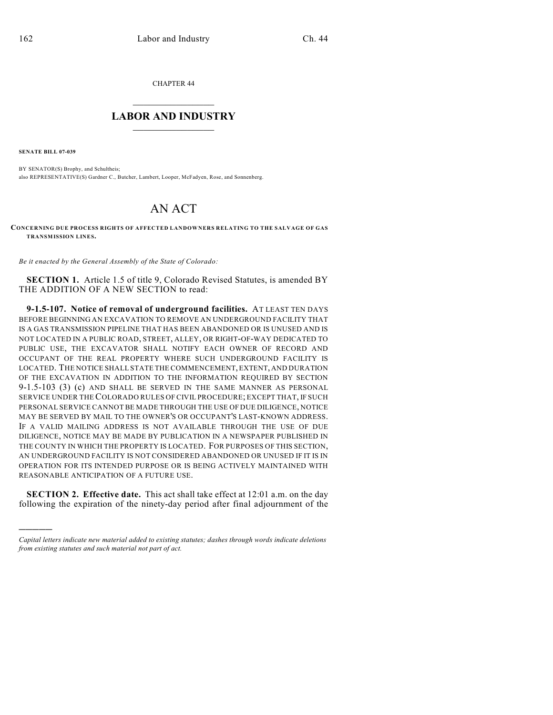CHAPTER 44

## $\overline{\phantom{a}}$  . The set of the set of the set of the set of the set of the set of the set of the set of the set of the set of the set of the set of the set of the set of the set of the set of the set of the set of the set o **LABOR AND INDUSTRY**  $\frac{1}{\sqrt{2}}$  ,  $\frac{1}{\sqrt{2}}$  ,  $\frac{1}{\sqrt{2}}$  ,  $\frac{1}{\sqrt{2}}$  ,  $\frac{1}{\sqrt{2}}$  ,  $\frac{1}{\sqrt{2}}$

**SENATE BILL 07-039**

)))))

BY SENATOR(S) Brophy, and Schultheis; also REPRESENTATIVE(S) Gardner C., Butcher, Lambert, Looper, McFadyen, Rose, and Sonnenberg.

## AN ACT

**CONCERNING DUE PROCESS RIGHTS OF AFFECTED LANDOWNERS RELATING TO THE SALVAGE OF GAS TRANSMISSION LINES.**

*Be it enacted by the General Assembly of the State of Colorado:*

**SECTION 1.** Article 1.5 of title 9, Colorado Revised Statutes, is amended BY THE ADDITION OF A NEW SECTION to read:

**9-1.5-107. Notice of removal of underground facilities.** AT LEAST TEN DAYS BEFORE BEGINNING AN EXCAVATION TO REMOVE AN UNDERGROUND FACILITY THAT IS A GAS TRANSMISSION PIPELINE THAT HAS BEEN ABANDONED OR IS UNUSED AND IS NOT LOCATED IN A PUBLIC ROAD, STREET, ALLEY, OR RIGHT-OF-WAY DEDICATED TO PUBLIC USE, THE EXCAVATOR SHALL NOTIFY EACH OWNER OF RECORD AND OCCUPANT OF THE REAL PROPERTY WHERE SUCH UNDERGROUND FACILITY IS LOCATED. THE NOTICE SHALL STATE THE COMMENCEMENT, EXTENT, AND DURATION OF THE EXCAVATION IN ADDITION TO THE INFORMATION REQUIRED BY SECTION 9-1.5-103 (3) (c) AND SHALL BE SERVED IN THE SAME MANNER AS PERSONAL SERVICE UNDER THE COLORADO RULES OF CIVIL PROCEDURE; EXCEPT THAT, IF SUCH PERSONAL SERVICE CANNOT BE MADE THROUGH THE USE OF DUE DILIGENCE, NOTICE MAY BE SERVED BY MAIL TO THE OWNER'S OR OCCUPANT'S LAST-KNOWN ADDRESS. IF A VALID MAILING ADDRESS IS NOT AVAILABLE THROUGH THE USE OF DUE DILIGENCE, NOTICE MAY BE MADE BY PUBLICATION IN A NEWSPAPER PUBLISHED IN THE COUNTY IN WHICH THE PROPERTY IS LOCATED. FOR PURPOSES OF THIS SECTION, AN UNDERGROUND FACILITY IS NOT CONSIDERED ABANDONED OR UNUSED IF IT IS IN OPERATION FOR ITS INTENDED PURPOSE OR IS BEING ACTIVELY MAINTAINED WITH REASONABLE ANTICIPATION OF A FUTURE USE.

**SECTION 2. Effective date.** This act shall take effect at 12:01 a.m. on the day following the expiration of the ninety-day period after final adjournment of the

*Capital letters indicate new material added to existing statutes; dashes through words indicate deletions from existing statutes and such material not part of act.*